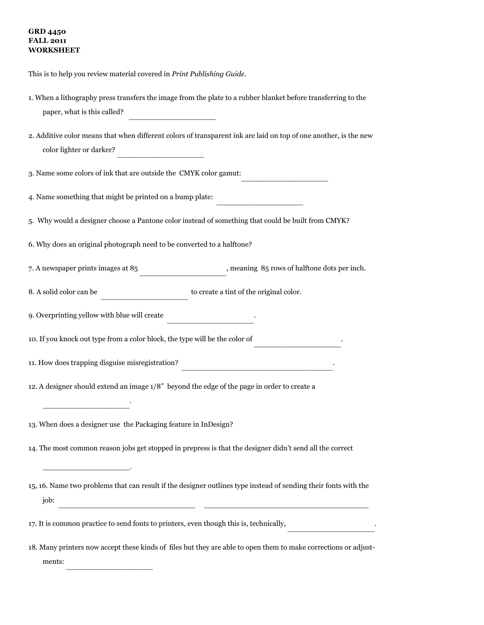## **GRD 4450 FALL 2011 WORKSHEET**

ments:

This is to help you review material covered in *Print Publishing Guide*.

| 1. When a lithography press transfers the image from the plate to a rubber blanket before transferring to the<br>paper, what is this called?                            |  |  |  |  |  |
|-------------------------------------------------------------------------------------------------------------------------------------------------------------------------|--|--|--|--|--|
| 2. Additive color means that when different colors of transparent ink are laid on top of one another, is the new<br>color lighter or darker?                            |  |  |  |  |  |
| 3. Name some colors of ink that are outside the CMYK color gamut:                                                                                                       |  |  |  |  |  |
| 4. Name something that might be printed on a bump plate:                                                                                                                |  |  |  |  |  |
| 5. Why would a designer choose a Pantone color instead of something that could be built from CMYK?                                                                      |  |  |  |  |  |
| 6. Why does an original photograph need to be converted to a halftone?                                                                                                  |  |  |  |  |  |
| 7. A newspaper prints images at 85<br>$,$ meaning $85$ rows of halftone dots per inch.                                                                                  |  |  |  |  |  |
| to create a tint of the original color.<br>8. A solid color can be                                                                                                      |  |  |  |  |  |
| 9. Overprinting yellow with blue will create                                                                                                                            |  |  |  |  |  |
| 10. If you knock out type from a color block, the type will be the color of                                                                                             |  |  |  |  |  |
| 11. How does trapping disguise misregistration?<br><u> 1989 - Jan James James, martin de la populación de la propia de la populación de la propia de la propia de l</u> |  |  |  |  |  |
| 12. A designer should extend an image $1/8$ " beyond the edge of the page in order to create a                                                                          |  |  |  |  |  |
| 13. When does a designer use the Packaging feature in InDesign?                                                                                                         |  |  |  |  |  |
| 14. The most common reason jobs get stopped in prepress is that the designer didn't send all the correct                                                                |  |  |  |  |  |
| 15, 16. Name two problems that can result if the designer outlines type instead of sending their fonts with the<br>job:                                                 |  |  |  |  |  |
| 17. It is common practice to send fonts to printers, even though this is, technically,                                                                                  |  |  |  |  |  |
| 18. Many printers now accept these kinds of files but they are able to open them to make corrections or adjust-                                                         |  |  |  |  |  |